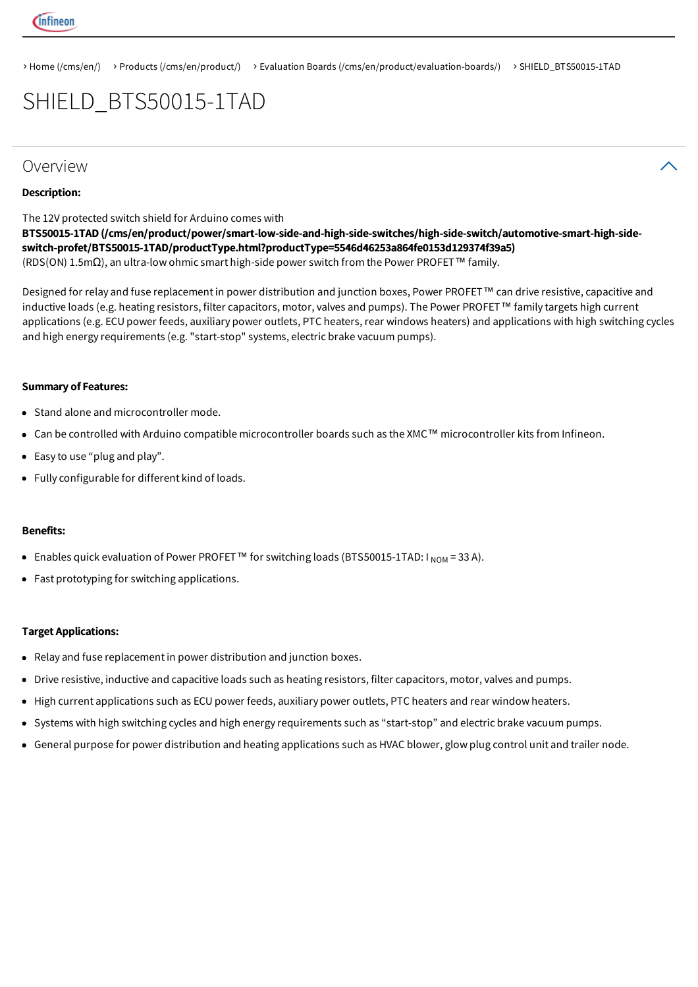

> Home (/cms/en/) > Products (/cms/en/product/) > Evaluation Boards (/cms/en/product/evaluation-boards/) > SHIELD\_BTS50015-1TAD

## SHIELD\_BTS50015-1TAD

#### Overview  $\lambda$

#### Description:

The 12V protected switch shield for Arduino comes with (RDS(ON) 1.5mΩ), an ultra-low ohmic smart high-side power switch from the Power PROFET™ family. BTS50015-1TAD (/cms/en/product/power/smart-low-side-and-high-side-switches/high-side-switch/automotive-smart-high-sideswitch-profet/BTS50015-1TAD/productType.html?productType=5546d46253a864fe0153d129374f39a5)

Designed for relay and fuse replacement in power distribution and junction boxes, Power PROFET™ can drive resistive, capacitive and inductive loads (e.g. heating resistors, filter capacitors, motor, valves and pumps). The Power PROFET™ family targets high current applications (e.g. ECU power feeds, auxiliary power outlets, PTC heaters, rear windows heaters) and applications with high switching cycles and high energy requirements (e.g. "start-stop" systems, electric brake vacuum pumps).

#### Summary of Features:

- Stand alone and microcontroller mode.
- Can be controlled with Arduino compatible microcontroller boards such as the XMC™ microcontroller kits from Infineon.
- Easy to use "plug and play".
- Fully configurable for different kind of loads.

#### Benefits:

- Enables quick evaluation of Power PROFET™ for switching loads (BTS50015-1TAD: I  $_{\sf{NOM}}$  = 33 A).
- Fast prototyping for switching applications.

#### Target Applications:

- Relay and fuse replacementin power distribution and junction boxes.
- Drive resistive, inductive and capacitive loads such as heating resistors, filter capacitors, motor, valves and pumps.
- High current applications such as ECU power feeds, auxiliary power outlets, PTC heaters and rear window heaters.
- Systems with high switching cycles and high energy requirements such as "start-stop" and electric brake vacuum pumps.
- General purpose for power distribution and heating applications such as HVAC blower, glow plug control unit and trailer node.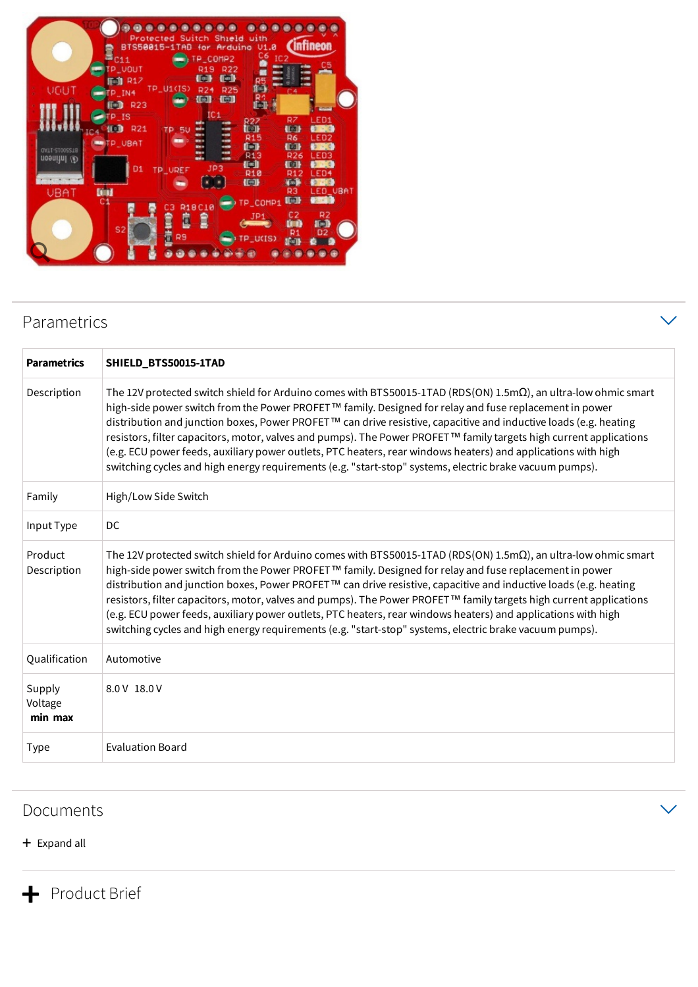|                                             | 0.00000                                                    | $\bullet$<br>$\bullet$<br>Protected Suitch Shield with                          | $\bullet$                                        |                                                                                                                       |
|---------------------------------------------|------------------------------------------------------------|---------------------------------------------------------------------------------|--------------------------------------------------|-----------------------------------------------------------------------------------------------------------------------|
|                                             | BTS50015-1TAB for Arduino V1.0<br>C11<br><b>P_VOUT</b>     | TP_COMP2<br><b>R19</b><br>R <sub>22</sub>                                       | C6<br>IC <sub>2</sub>                            | <b>Infineon</b>                                                                                                       |
| UGUT                                        | 图 R17<br>TP U1(IS)<br>TP IN4<br><b>FD</b> R23              | <b>Coll</b><br><b>diam</b><br><b>R24</b><br><b>R25</b><br>(En)<br><b>Finall</b> | 画                                                |                                                                                                                       |
|                                             | P <sub>IS</sub><br>便用<br><b>R21</b><br><b>TP 50</b><br>. . | IC <sub>1</sub><br>min<br><br>ш<br>m.                                           | <b>R27</b><br>【图】<br><b>R15</b>                  | R7<br>LED1<br><b>Affairs</b><br>第24<br>R6<br>LED <sub>2</sub>                                                         |
| <b>GVIT-ST00SS19</b><br><b>CA Intineon</b>  | <b>WIP_UBAT</b><br>D <sub>1</sub><br>TP_UREF               | ÷<br><br><br>JP3                                                                | <b>T</b><br><b>R13</b><br><b>T</b><br><b>R10</b> | <b>T</b><br>$\mathbb{R} \rightarrow \mathbb{C}$<br><b>R26</b><br>LED3<br><b>TELL</b><br>$2 - 4$<br><b>R12</b><br>LED4 |
| <b>DOM</b><br><b>UBAT</b><br>C <sub>1</sub> | cз                                                         | R18C10                                                                          | 但非<br>TP_COMP1                                   | <b>The State</b><br><b>西 河</b><br>LED_VBAT<br>RЗ<br>【画】<br><b>CRITICIP</b>                                            |
|                                             | S <sub>2</sub>                                             | Ê<br>R9                                                                         | <b>TP U(IS)</b>                                  | C2<br>R2<br>和<br><b>LEST</b><br>D2                                                                                    |
|                                             |                                                            |                                                                                 |                                                  |                                                                                                                       |

## Parametrics

| <b>Parametrics</b>           | SHIELD_BTS50015-1TAD                                                                                                                                                                                                                                                                                                                                                                                                                                                                                                                                                                                                                                                                                    |
|------------------------------|---------------------------------------------------------------------------------------------------------------------------------------------------------------------------------------------------------------------------------------------------------------------------------------------------------------------------------------------------------------------------------------------------------------------------------------------------------------------------------------------------------------------------------------------------------------------------------------------------------------------------------------------------------------------------------------------------------|
| Description                  | The 12V protected switch shield for Arduino comes with BTS50015-1TAD (RDS(ON) 1.5m $\Omega$ ), an ultra-low ohmic smart<br>high-side power switch from the Power PROFET™ family. Designed for relay and fuse replacement in power<br>distribution and junction boxes, Power PROFET™ can drive resistive, capacitive and inductive loads (e.g. heating<br>resistors, filter capacitors, motor, valves and pumps). The Power PROFET™ family targets high current applications<br>(e.g. ECU power feeds, auxiliary power outlets, PTC heaters, rear windows heaters) and applications with high<br>switching cycles and high energy requirements (e.g. "start-stop" systems, electric brake vacuum pumps). |
| Family                       | High/Low Side Switch                                                                                                                                                                                                                                                                                                                                                                                                                                                                                                                                                                                                                                                                                    |
| Input Type                   | DC                                                                                                                                                                                                                                                                                                                                                                                                                                                                                                                                                                                                                                                                                                      |
| Product<br>Description       | The 12V protected switch shield for Arduino comes with BTS50015-1TAD (RDS(ON) 1.5m $\Omega$ ), an ultra-low ohmic smart<br>high-side power switch from the Power PROFET™ family. Designed for relay and fuse replacement in power<br>distribution and junction boxes, Power PROFET™ can drive resistive, capacitive and inductive loads (e.g. heating<br>resistors, filter capacitors, motor, valves and pumps). The Power PROFET™ family targets high current applications<br>(e.g. ECU power feeds, auxiliary power outlets, PTC heaters, rear windows heaters) and applications with high<br>switching cycles and high energy requirements (e.g. "start-stop" systems, electric brake vacuum pumps). |
| Qualification                | Automotive                                                                                                                                                                                                                                                                                                                                                                                                                                                                                                                                                                                                                                                                                              |
| Supply<br>Voltage<br>min max | 8.0 V 18.0 V                                                                                                                                                                                                                                                                                                                                                                                                                                                                                                                                                                                                                                                                                            |
| Type                         | <b>Evaluation Board</b>                                                                                                                                                                                                                                                                                                                                                                                                                                                                                                                                                                                                                                                                                 |

## Documents

### + Expand all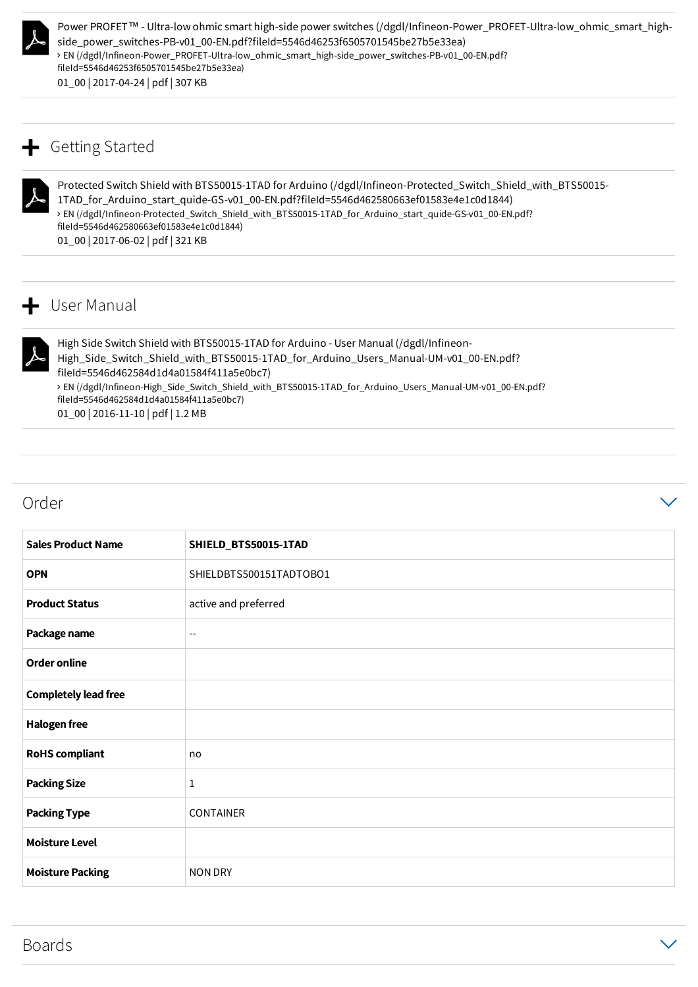

Power PROFET™ - Ultra-low ohmic smart high-side power switches (/dgdl/Infineon-Power\_PROFET-Ultra-low\_ohmic\_smart\_high-<br>
side\_power\_switches-PB-v01\_00-EN.pdf?fileId=5546d46253f6505701545be27b5e33ea)<br>
> EN (/dgdl/Infineonside\_power\_switches-PB-v01\_00-EN.pdf?fileId=5546d46253f6505701545be27b5e33ea) 01\_00 | 2017-04-24 | pdf | 307 KB fileId=5546d46253f6505701545be27b5e33ea) > EN (/dgdl/Infineon-Power\_PROFET-Ultra-low\_ohmic\_smart\_high-side\_power\_switches-PB-v01\_00-EN.pdf?

## $\div$  Getting Started



Protected Switch Shield with BTS50015-1TAD for Arduino (/dgdl/Infineon-Protected\_Switch\_Shield\_with\_BTS50015-<br>1TAD\_for\_Arduino\_start\_quide-GS-v01\_00-EN.pdf?fileId=5546d462580663ef01583e4e1c0d1844)<br>> EN (/dgdl/Infineon-Prot 1TAD\_for\_Arduino\_start\_quide-GS-v01\_00-EN.pdf?fileId=5546d462580663ef01583e4e1c0d1844) 01\_00 | 2017-06-02 | pdf | 321 KB fileId=5546d462580663ef01583e4e1c0d1844) > EN (/dgdl/Infineon-Protected\_Switch\_Shield\_with\_BTS50015-1TAD\_for\_Arduino\_start\_quide-GS-v01\_00-EN.pdf?

## $+$  User Manual

Hi

High Side Switch Shield with BTS50015-1TAD for Arduino - User Manual (/dgdl/Infineon-High\_Side\_Switch\_Shield\_with\_BTS50015-1TAD\_for\_Arduino\_Users\_Manual-UM-v01\_00-EN.pdf? fileId=5546d462584d1d4a01584f411a5e0bc7) 01\_00 | 2016-11-10 | pdf | 1.2 MB EN (/dgdl/Infineon-High\_Side\_Switch\_Shield\_with\_BTS50015-1TAD\_for\_Arduino\_Users\_Manual-UM-v01\_00-EN.pdf? fileId=5546d462584d1d4a01584f411a5e0bc7)

### $\blacksquare$  Order  $\blacksquare$

| <b>Sales Product Name</b>   | SHIELD_BTS50015-1TAD     |
|-----------------------------|--------------------------|
| <b>OPN</b>                  | SHIELDBTS500151TADTOBO1  |
| <b>Product Status</b>       | active and preferred     |
| Package name                | $\overline{\phantom{a}}$ |
| <b>Order online</b>         |                          |
| <b>Completely lead free</b> |                          |
| <b>Halogen free</b>         |                          |
| <b>RoHS</b> compliant       | no                       |
| <b>Packing Size</b>         | $\mathbf{1}$             |
| <b>Packing Type</b>         | <b>CONTAINER</b>         |
| <b>Moisture Level</b>       |                          |
| <b>Moisture Packing</b>     | <b>NON DRY</b>           |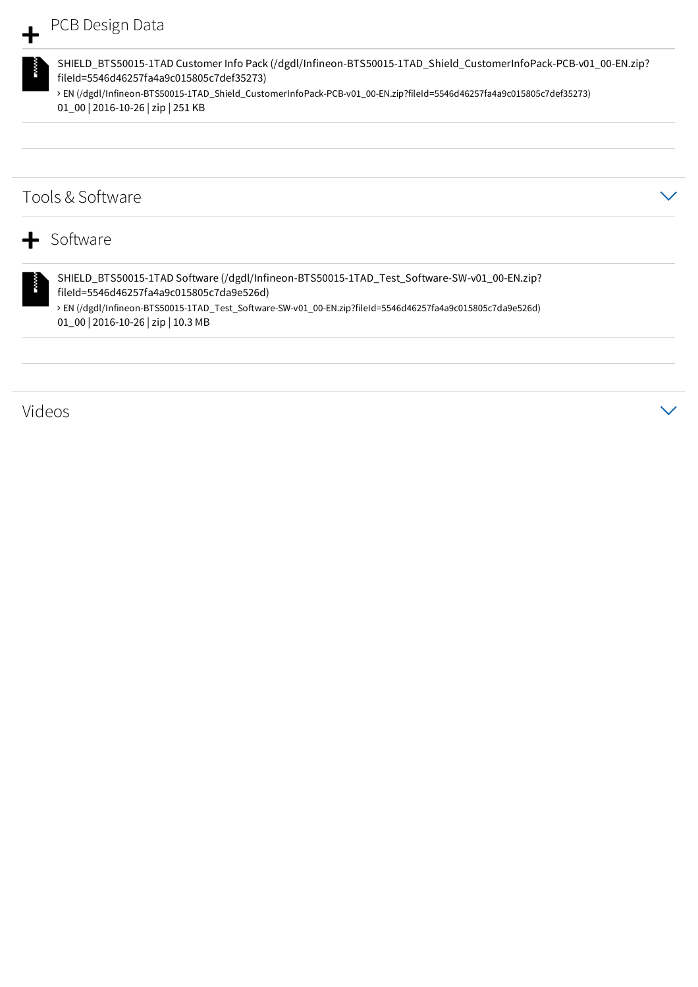SHIELD\_BTS50015-1TAD Customer Info Pack (/dgdl/Infineon-BTS50015-1TAD\_Shield\_CustomerInfoPack-PCB-v01\_00-EN.zip? EN (/dgdl/Infineon-BTS50015-1TAD\_Shield\_CustomerInfoPack-PCB-v01\_00-EN.zip?fileId=5546d46257fa4a9c015805c7def35273) fileId=5546d46257fa4a9c015805c7def35273) 01\_00 | 2016-10-26 | zip | 251 KB

## Tools & Software

## + Software SHIELD\_BTS50015-1TAD Software (/dgdl/Infineon-BTS50015-1TAD\_Test\_Software-SW-v01\_00-EN.zip? fileId=5546d46257fa4a9c015805c7da9e526d) 01\_00 | 2016-10-26 | zip | 10.3 MB EN (/dgdl/Infineon-BTS50015-1TAD\_Test\_Software-SW-v01\_00-EN.zip?fileId=5546d46257fa4a9c015805c7da9e526d)

Videos and  $\sim$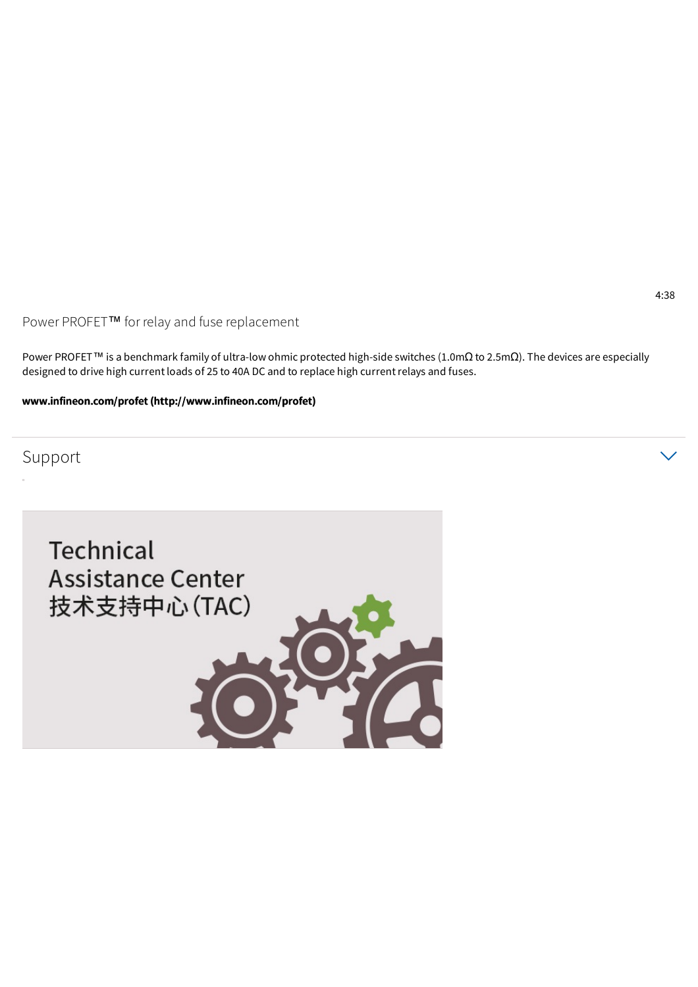Power PROFET™ for relay and fuse replacement

Power PROFET<sup>™</sup> is a benchmark family of ultra-low ohmic protected high-side switches (1.0mΩ to 2.5mΩ). The devices are especially designed to drive high current loads of 25 to 40A DC and to replace high current relays and fuses.

www.infineon.com/profet (http://www.infineon.com/profet)

Support  $\hspace{.15cm} \vee$ 





4:38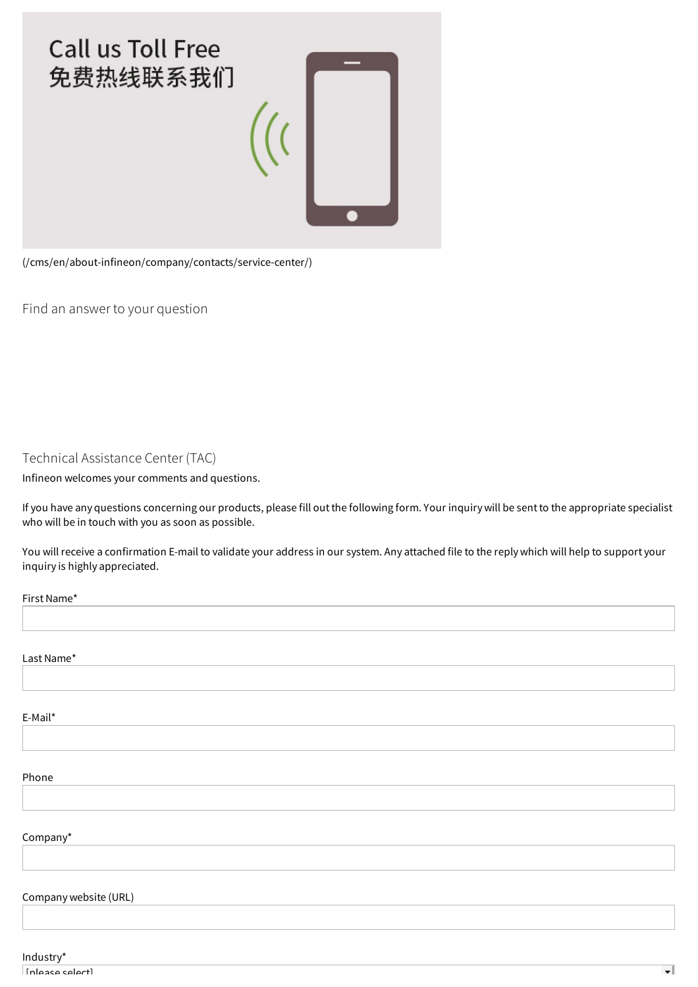

(/cms/en/about-infineon/company/contacts/service-center/)

Find an answer to your question

Technical Assistance Center (TAC)

Infineon welcomes your comments and questions.

If you have any questions concerning our products, please fill out the following form. Your inquiry will be sent to the appropriate specialist who will be in touch with you as soon as possible.

You will receive a confirmation E-mail to validate your address in our system. Any attached file to the reply which will help to support your inquiry is highly appreciated.

| First Name*           |  |
|-----------------------|--|
|                       |  |
|                       |  |
| Last Name*            |  |
|                       |  |
|                       |  |
| E-Mail*               |  |
|                       |  |
|                       |  |
| Phone                 |  |
|                       |  |
|                       |  |
| Company*              |  |
|                       |  |
|                       |  |
| Company website (URL) |  |
|                       |  |
|                       |  |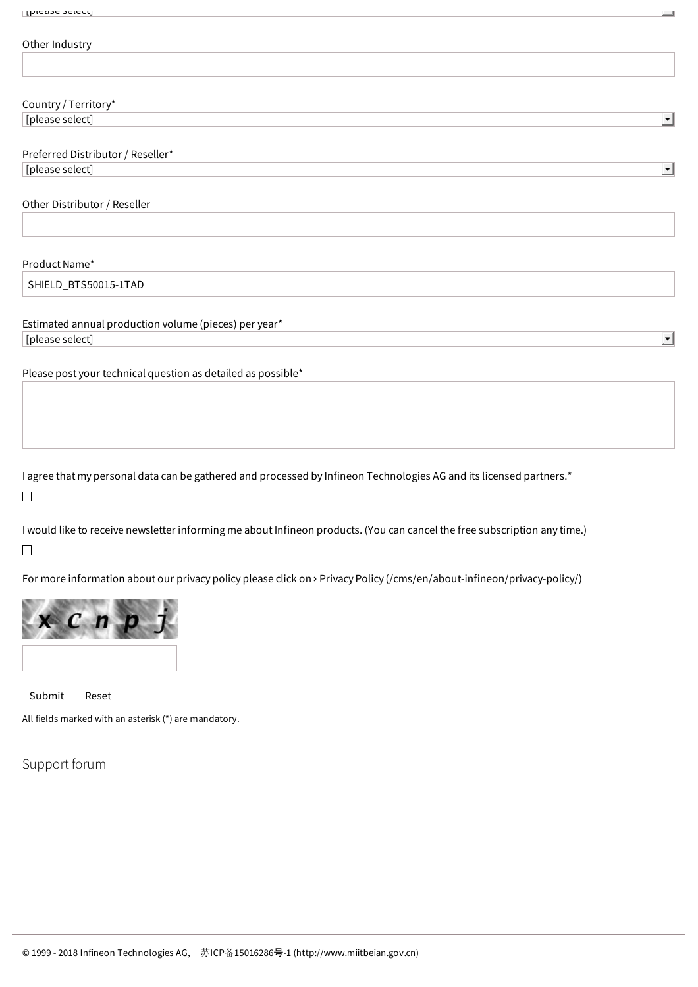# Other Industry

| $\Omega$ $\Omega$ $\Omega$<br>ıt∩r\/<br>$\sim$ . $\sim$ |
|---------------------------------------------------------|
|                                                         |

 $\overline{\phantom{0}}$ 

 $\vert \cdot \vert$ 

 $\overline{\phantom{a}}$ 

 $\left| \cdot \right|$ 

#### Preferred Distributor / Reseller\*

[please select]

Other Distributor / Reseller

#### Product Name\*

SHIELD\_BTS50015-1TAD

#### Estimated annual production volume (pieces) per year\*

[please select]

Please post your technical question as detailed as possible\*

I agree that my personal data can be gathered and processed by Infineon Technologies AG and its licensed partners.\*  $\Box$ 

I would like to receive newsletter informing me about Infineon products. (You can cancel the free subscription any time.)  $\Box$ 

For more information about our privacy policy please click on > Privacy Policy (/cms/en/about-infineon/privacy-policy/)



Submit Reset

All fields marked with an asterisk (\*) are mandatory.

Support forum